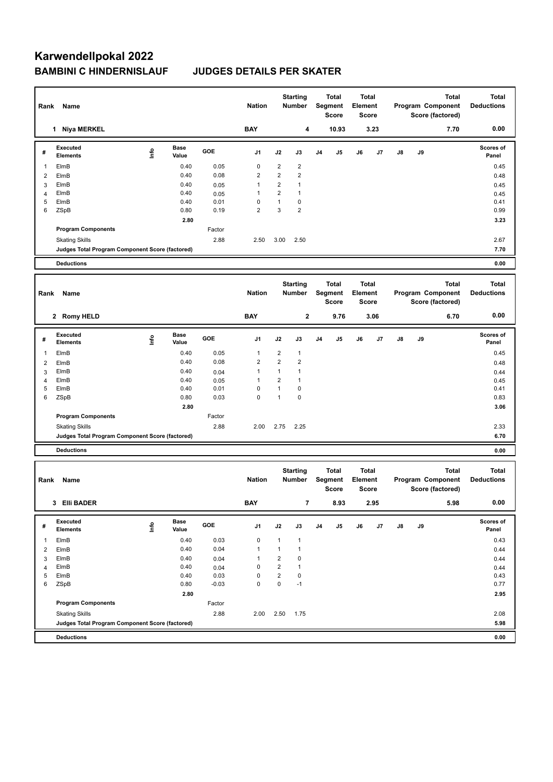## **Karwendellpokal 2022 BAMBINI C HINDERNISLAUF JUDGES DETAILS PER SKATER**

| Rank Name      |                                                                          |                                  |               |                 | <b>Starting</b><br><b>Nation</b><br>Number |                           |                         |                | <b>Total</b><br>Segment<br><b>Score</b> | <b>Total</b><br>Element<br>Score |                                   | <b>Total</b><br>Program Component<br>Score (factored) |      |                                   | <b>Total</b><br><b>Deductions</b> |
|----------------|--------------------------------------------------------------------------|----------------------------------|---------------|-----------------|--------------------------------------------|---------------------------|-------------------------|----------------|-----------------------------------------|----------------------------------|-----------------------------------|-------------------------------------------------------|------|-----------------------------------|-----------------------------------|
|                | 1 Niya MERKEL                                                            |                                  | <b>BAY</b>    | 4               |                                            |                           | 10.93                   | 3.23           |                                         | 7.70                             |                                   |                                                       | 0.00 |                                   |                                   |
| #              | Executed<br><b>Elements</b>                                              | lnfo                             | Base<br>Value | GOE             | J1                                         | J2                        | J3                      | J <sub>4</sub> | J5                                      | J6                               | J7                                | J8                                                    | J9   |                                   | Scores of<br>Panel                |
| 1              | ElmB                                                                     |                                  | 0.40          | 0.05            | 0                                          | $\overline{\mathbf{c}}$   | $\overline{\mathbf{c}}$ |                |                                         |                                  |                                   |                                                       |      |                                   | 0.45                              |
| 2              | ElmB                                                                     |                                  | 0.40          | 0.08            | $\overline{\mathbf{c}}$                    | $\overline{2}$            | $\boldsymbol{2}$        |                |                                         |                                  |                                   |                                                       |      |                                   | 0.48                              |
| 3              | ElmB                                                                     |                                  | 0.40          | 0.05            | $\mathbf{1}$                               | $\overline{2}$            | $\mathbf{1}$            |                |                                         |                                  |                                   |                                                       |      |                                   | 0.45                              |
| 4              | ElmB                                                                     |                                  | 0.40          | 0.05            | 1                                          | $\overline{2}$            | $\mathbf{1}$            |                |                                         |                                  |                                   |                                                       |      |                                   | 0.45                              |
| 5              | ElmB                                                                     |                                  | 0.40          | 0.01            | 0                                          | $\mathbf{1}$              | 0                       |                |                                         |                                  |                                   |                                                       |      |                                   | 0.41                              |
| 6              | ZSpB                                                                     |                                  | 0.80          | 0.19            | 2                                          | 3                         | $\overline{\mathbf{c}}$ |                |                                         |                                  |                                   |                                                       |      |                                   | 0.99                              |
|                |                                                                          |                                  | 2.80          |                 |                                            |                           |                         |                |                                         |                                  |                                   |                                                       |      |                                   | 3.23                              |
|                | <b>Program Components</b>                                                |                                  |               | Factor          |                                            |                           |                         |                |                                         |                                  |                                   |                                                       |      |                                   |                                   |
|                | <b>Skating Skills</b>                                                    |                                  |               | 2.88            | 2.50                                       | 3.00                      | 2.50                    |                |                                         |                                  |                                   |                                                       |      |                                   | 2.67                              |
|                | Judges Total Program Component Score (factored)                          |                                  |               |                 |                                            |                           |                         |                |                                         |                                  |                                   |                                                       |      |                                   | 7.70<br>0.00                      |
|                | <b>Deductions</b>                                                        |                                  |               |                 |                                            |                           |                         |                |                                         |                                  |                                   |                                                       |      |                                   |                                   |
|                |                                                                          |                                  |               |                 |                                            | <b>Starting</b><br>Number |                         | <b>Total</b>   |                                         | <b>Total</b>                     |                                   |                                                       |      | <b>Total</b>                      |                                   |
| Rank           | Name                                                                     |                                  |               |                 | <b>Nation</b>                              |                           |                         |                | Segment                                 | Element                          |                                   | <b>Total</b><br>Program Component                     |      |                                   | <b>Deductions</b>                 |
|                |                                                                          |                                  |               |                 |                                            |                           |                         |                | <b>Score</b>                            | Score                            |                                   | Score (factored)                                      |      |                                   |                                   |
|                | 2 Romy HELD                                                              |                                  |               |                 | <b>BAY</b>                                 |                           | $\mathbf 2$             |                | 9.76                                    |                                  | 3.06                              |                                                       |      | 6.70                              | 0.00                              |
|                |                                                                          |                                  |               |                 |                                            |                           |                         |                |                                         |                                  |                                   |                                                       |      |                                   |                                   |
| #              | Executed<br><b>Elements</b>                                              | $\mathop{\mathsf{Irr}}\nolimits$ | Base<br>Value | GOE             | J1                                         | J2                        | J3                      | J4             | J5                                      | J6                               | J7                                | J8                                                    | J9   |                                   | <b>Scores of</b><br>Panel         |
| 1              | ElmB                                                                     |                                  | 0.40          | 0.05            | $\mathbf{1}$                               | $\overline{\mathbf{c}}$   | $\mathbf{1}$            |                |                                         |                                  |                                   |                                                       |      |                                   | 0.45                              |
| 2              | ElmB                                                                     |                                  | 0.40          | 0.08            | $\overline{2}$                             | $\overline{2}$            | $\boldsymbol{2}$        |                |                                         |                                  |                                   |                                                       |      |                                   | 0.48                              |
| 3              | ElmB                                                                     |                                  | 0.40          | 0.04            | $\mathbf{1}$                               | $\mathbf{1}$              | $\mathbf{1}$            |                |                                         |                                  |                                   |                                                       |      |                                   | 0.44                              |
| $\overline{4}$ | ElmB                                                                     |                                  | 0.40          | 0.05            | 1                                          | $\overline{2}$            | $\mathbf{1}$            |                |                                         |                                  |                                   |                                                       |      |                                   | 0.45                              |
| 5              | ElmB                                                                     |                                  | 0.40          | 0.01            | 0                                          | $\mathbf{1}$              | 0                       |                |                                         |                                  |                                   |                                                       |      |                                   | 0.41                              |
| 6              | ZSpB                                                                     |                                  | 0.80          | 0.03            | 0                                          | $\mathbf{1}$              | 0                       |                |                                         |                                  |                                   |                                                       |      |                                   | 0.83                              |
|                |                                                                          |                                  | 2.80          |                 |                                            |                           |                         |                |                                         |                                  |                                   |                                                       |      |                                   | 3.06                              |
|                | <b>Program Components</b>                                                |                                  |               | Factor          |                                            |                           |                         |                |                                         |                                  |                                   |                                                       |      |                                   |                                   |
|                | <b>Skating Skills</b>                                                    |                                  |               | 2.88            | 2.00                                       | 2.75                      | 2.25                    |                |                                         |                                  |                                   |                                                       |      |                                   | 2.33                              |
|                | Judges Total Program Component Score (factored)                          |                                  |               |                 |                                            |                           |                         |                |                                         |                                  |                                   |                                                       |      |                                   | 6.70                              |
|                | <b>Deductions</b>                                                        |                                  |               |                 |                                            |                           |                         |                |                                         |                                  |                                   |                                                       |      |                                   | 0.00                              |
|                |                                                                          |                                  |               |                 |                                            |                           |                         |                |                                         | <b>Total</b>                     |                                   |                                                       |      |                                   |                                   |
|                | Rank<br>Name                                                             |                                  |               | <b>Nation</b>   |                                            | <b>Starting</b><br>Number | <b>Total</b><br>Segment |                | Element                                 |                                  | <b>Total</b><br>Program Component |                                                       |      | <b>Total</b><br><b>Deductions</b> |                                   |
|                |                                                                          |                                  |               |                 |                                            |                           |                         | <b>Score</b>   | <b>Score</b>                            |                                  | Score (factored)                  |                                                       |      |                                   |                                   |
|                |                                                                          |                                  |               |                 |                                            |                           |                         |                |                                         |                                  |                                   |                                                       |      | 0.00                              |                                   |
|                | 3 Elli BADER                                                             |                                  |               |                 | <b>BAY</b>                                 |                           | $\overline{7}$          |                | 8.93                                    |                                  | 2.95                              |                                                       |      | 5.98                              |                                   |
|                | Executed                                                                 |                                  | Base          | GOE             |                                            |                           |                         |                |                                         |                                  |                                   |                                                       |      |                                   | Scores of                         |
| #              | Elements                                                                 | $\mathop{\mathsf{Irr}}\nolimits$ | Value         |                 | J1                                         | J2                        | J3                      | J <sub>4</sub> | J5                                      | J6                               | J7                                | J8                                                    | J9   |                                   | Panel                             |
| 1              | ElmB                                                                     |                                  | 0.40          | 0.03            | 0                                          | $\mathbf{1}$              | $\mathbf{1}$            |                |                                         |                                  |                                   |                                                       |      |                                   | 0.43                              |
| $\overline{2}$ | ElmB                                                                     |                                  | 0.40          | 0.04            | $\mathbf{1}$                               | $\mathbf{1}$              | $\mathbf{1}$            |                |                                         |                                  |                                   |                                                       |      |                                   | 0.44                              |
| 3              | ElmB                                                                     |                                  | 0.40          | 0.04            | $\mathbf{1}$                               | $\overline{2}$            | 0                       |                |                                         |                                  |                                   |                                                       |      |                                   | 0.44                              |
| $\overline{4}$ | ElmB                                                                     |                                  | 0.40          | 0.04            | 0                                          | $\overline{c}$            | 1                       |                |                                         |                                  |                                   |                                                       |      |                                   | 0.44                              |
| 5<br>6         | ElmB<br>ZSpB                                                             |                                  | 0.40<br>0.80  | 0.03<br>$-0.03$ | 0<br>0                                     | $\overline{c}$<br>0       | $\pmb{0}$<br>$-1$       |                |                                         |                                  |                                   |                                                       |      |                                   | 0.43<br>0.77                      |
|                |                                                                          |                                  | 2.80          |                 |                                            |                           |                         |                |                                         |                                  |                                   |                                                       |      |                                   | 2.95                              |
|                | <b>Program Components</b>                                                |                                  |               | Factor          |                                            |                           |                         |                |                                         |                                  |                                   |                                                       |      |                                   |                                   |
|                |                                                                          |                                  |               | 2.88            | 2.00                                       |                           | 1.75                    |                |                                         |                                  |                                   |                                                       |      |                                   | 2.08                              |
|                | <b>Skating Skills</b><br>Judges Total Program Component Score (factored) |                                  |               |                 |                                            | 2.50                      |                         |                |                                         |                                  |                                   |                                                       |      |                                   | 5.98                              |
|                |                                                                          |                                  |               |                 |                                            |                           |                         |                |                                         |                                  |                                   |                                                       |      |                                   |                                   |
|                | <b>Deductions</b>                                                        |                                  |               |                 |                                            |                           |                         |                |                                         |                                  |                                   |                                                       |      |                                   | 0.00                              |